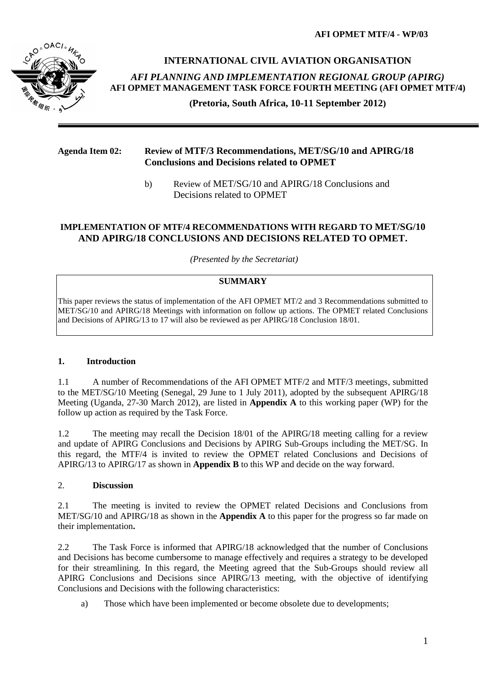**AFI OPMET MTF/4 - WP/03**



**INTERNATIONAL CIVIL AVIATION ORGANISATION**  *AFI PLANNING AND IMPLEMENTATION REGIONAL GROUP (APIRG)* **AFI OPMET MANAGEMENT TASK FORCE FOURTH MEETING (AFI OPMET MTF/4)** 

**(Pretoria, South Africa, 10-11 September 2012)**

## **Agenda Item 02: Review of MTF/3 Recommendations, MET/SG/10 and APIRG/18 Conclusions and Decisions related to OPMET**

b) Review of MET/SG/10 and APIRG/18 Conclusions and Decisions related to OPMET

#### **IMPLEMENTATION OF MTF/4 RECOMMENDATIONS WITH REGARD TO MET/SG/10 AND APIRG/18 CONCLUSIONS AND DECISIONS RELATED TO OPMET.**

*(Presented by the Secretariat)*

#### **SUMMARY**

This paper reviews the status of implementation of the AFI OPMET MT/2 and 3 Recommendations submitted to MET/SG/10 and APIRG/18 Meetings with information on follow up actions. The OPMET related Conclusions and Decisions of APIRG/13 to 17 will also be reviewed as per APIRG/18 Conclusion 18/01.

## **1. Introduction**

1.1 A number of Recommendations of the AFI OPMET MTF/2 and MTF/3 meetings, submitted to the MET/SG/10 Meeting (Senegal, 29 June to 1 July 2011), adopted by the subsequent APIRG/18 Meeting (Uganda, 27-30 March 2012), are listed in **Appendix A** to this working paper (WP) for the follow up action as required by the Task Force.

1.2 The meeting may recall the Decision 18/01 of the APIRG/18 meeting calling for a review and update of APIRG Conclusions and Decisions by APIRG Sub-Groups including the MET/SG. In this regard, the MTF/4 is invited to review the OPMET related Conclusions and Decisions of APIRG/13 to APIRG/17 as shown in **Appendix B** to this WP and decide on the way forward.

## 2. **Discussion**

2.1 The meeting is invited to review the OPMET related Decisions and Conclusions from MET/SG/10 and APIRG/18 as shown in the **Appendix A** to this paper for the progress so far made on their implementation**.**

2.2 The Task Force is informed that APIRG/18 acknowledged that the number of Conclusions and Decisions has become cumbersome to manage effectively and requires a strategy to be developed for their streamlining. In this regard, the Meeting agreed that the Sub-Groups should review all APIRG Conclusions and Decisions since APIRG/13 meeting, with the objective of identifying Conclusions and Decisions with the following characteristics:

a) Those which have been implemented or become obsolete due to developments;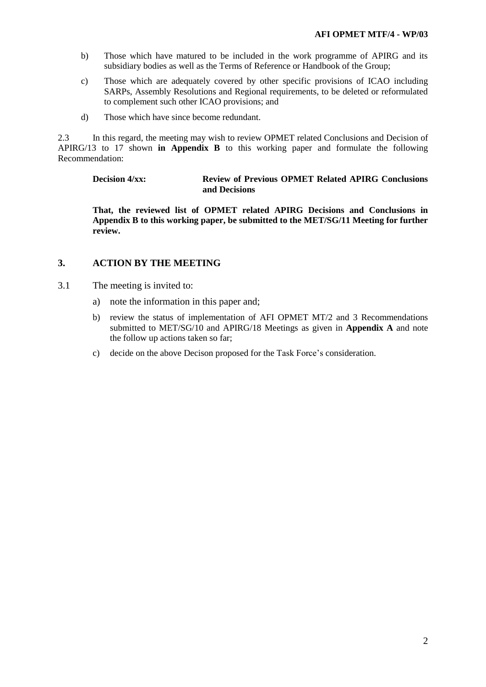- b) Those which have matured to be included in the work programme of APIRG and its subsidiary bodies as well as the Terms of Reference or Handbook of the Group;
- c) Those which are adequately covered by other specific provisions of ICAO including SARPs, Assembly Resolutions and Regional requirements, to be deleted or reformulated to complement such other ICAO provisions; and
- d) Those which have since become redundant.

2.3 In this regard, the meeting may wish to review OPMET related Conclusions and Decision of APIRG/13 to 17 shown **in Appendix B** to this working paper and formulate the following Recommendation:

## **Decision 4/xx: Review of Previous OPMET Related APIRG Conclusions and Decisions**

**That, the reviewed list of OPMET related APIRG Decisions and Conclusions in Appendix B to this working paper, be submitted to the MET/SG/11 Meeting for further review.**

## **3. ACTION BY THE MEETING**

- 3.1 The meeting is invited to:
	- a) note the information in this paper and;
	- b) review the status of implementation of AFI OPMET MT/2 and 3 Recommendations submitted to MET/SG/10 and APIRG/18 Meetings as given in **Appendix A** and note the follow up actions taken so far;
	- c) decide on the above Decison proposed for the Task Force's consideration.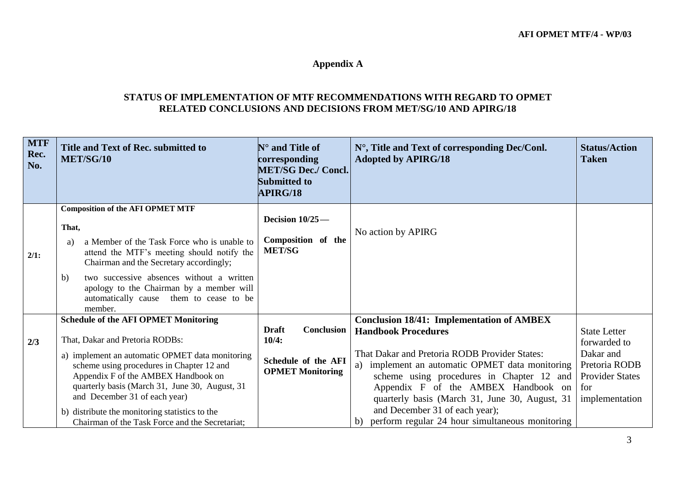# **Appendix A**

# **STATUS OF IMPLEMENTATION OF MTF RECOMMENDATIONS WITH REGARD TO OPMET RELATED CONCLUSIONS AND DECISIONS FROM MET/SG/10 AND APIRG/18**

| <b>MTF</b><br>Rec.<br>No. | Title and Text of Rec. submitted to<br><b>MET/SG/10</b>                                                                                                                                                                                                                                                                                                                                                       | $\mathbb{N}^{\circ}$ and Title of<br>corresponding<br><b>MET/SG Dec./ Concl.</b><br><b>Submitted to</b><br>APIRG/18 | N°, Title and Text of corresponding Dec/Conl.<br><b>Adopted by APIRG/18</b>                                                                                                                                                                                                                                                                                                                                         | <b>Status/Action</b><br><b>Taken</b>                                                                                 |
|---------------------------|---------------------------------------------------------------------------------------------------------------------------------------------------------------------------------------------------------------------------------------------------------------------------------------------------------------------------------------------------------------------------------------------------------------|---------------------------------------------------------------------------------------------------------------------|---------------------------------------------------------------------------------------------------------------------------------------------------------------------------------------------------------------------------------------------------------------------------------------------------------------------------------------------------------------------------------------------------------------------|----------------------------------------------------------------------------------------------------------------------|
| 2/1:                      | <b>Composition of the AFI OPMET MTF</b><br>That,<br>a Member of the Task Force who is unable to<br>a)<br>attend the MTF's meeting should notify the<br>Chairman and the Secretary accordingly;<br>two successive absences without a written<br>b)<br>apology to the Chairman by a member will<br>automatically cause them to cease to be<br>member.                                                           | Decision $10/25$ —<br>Composition of the<br><b>MET/SG</b>                                                           | No action by APIRG                                                                                                                                                                                                                                                                                                                                                                                                  |                                                                                                                      |
| 2/3                       | <b>Schedule of the AFI OPMET Monitoring</b><br>That, Dakar and Pretoria RODBs:<br>a) implement an automatic OPMET data monitoring<br>scheme using procedures in Chapter 12 and<br>Appendix F of the AMBEX Handbook on<br>quarterly basis (March 31, June 30, August, 31<br>and December 31 of each year)<br>b) distribute the monitoring statistics to the<br>Chairman of the Task Force and the Secretariat; | Conclusion<br><b>Draft</b><br>10/4:<br>Schedule of the AFI<br><b>OPMET Monitoring</b>                               | <b>Conclusion 18/41: Implementation of AMBEX</b><br><b>Handbook Procedures</b><br>That Dakar and Pretoria RODB Provider States:<br>a) implement an automatic OPMET data monitoring<br>scheme using procedures in Chapter 12 and<br>Appendix F of the AMBEX Handbook on<br>quarterly basis (March 31, June 30, August, 31<br>and December 31 of each year);<br>perform regular 24 hour simultaneous monitoring<br>b) | <b>State Letter</b><br>forwarded to<br>Dakar and<br>Pretoria RODB<br><b>Provider States</b><br>for<br>implementation |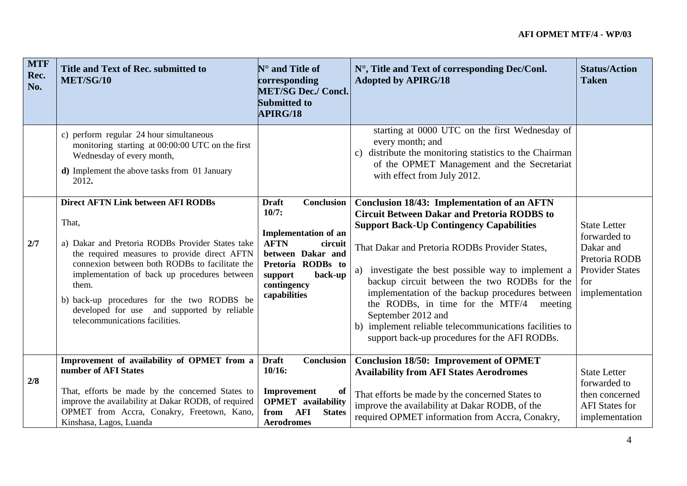| <b>MTF</b><br>Rec.<br>No. | Title and Text of Rec. submitted to<br>MET/SG/10                                                                                                                                                                                                                                                                                                                                                 | $\mathbf{N}^\circ$ and Title of<br>corresponding<br><b>MET/SG Dec./ Concl.</b><br><b>Submitted to</b><br><b>APIRG/18</b>                                                                    | N°, Title and Text of corresponding Dec/Conl.<br><b>Adopted by APIRG/18</b>                                                                                                                                                                                                                                                                                                                                                                                                                                                                             | <b>Status/Action</b><br><b>Taken</b>                                                                                 |
|---------------------------|--------------------------------------------------------------------------------------------------------------------------------------------------------------------------------------------------------------------------------------------------------------------------------------------------------------------------------------------------------------------------------------------------|---------------------------------------------------------------------------------------------------------------------------------------------------------------------------------------------|---------------------------------------------------------------------------------------------------------------------------------------------------------------------------------------------------------------------------------------------------------------------------------------------------------------------------------------------------------------------------------------------------------------------------------------------------------------------------------------------------------------------------------------------------------|----------------------------------------------------------------------------------------------------------------------|
|                           | c) perform regular 24 hour simultaneous<br>monitoring starting at 00:00:00 UTC on the first<br>Wednesday of every month,<br><b>d</b> ) Implement the above tasks from 01 January<br>2012.                                                                                                                                                                                                        |                                                                                                                                                                                             | starting at 0000 UTC on the first Wednesday of<br>every month; and<br>distribute the monitoring statistics to the Chairman<br>$\mathbf{c}$ )<br>of the OPMET Management and the Secretariat<br>with effect from July 2012.                                                                                                                                                                                                                                                                                                                              |                                                                                                                      |
| 2/7                       | <b>Direct AFTN Link between AFI RODBs</b><br>That,<br>a) Dakar and Pretoria RODBs Provider States take<br>the required measures to provide direct AFTN<br>connexion between both RODBs to facilitate the<br>implementation of back up procedures between<br>them.<br>b) back-up procedures for the two RODBS be<br>developed for use and supported by reliable<br>telecommunications facilities. | Conclusion<br><b>Draft</b><br>10/7:<br><b>Implementation of an</b><br><b>AFTN</b><br>circuit<br>between Dakar and<br>Pretoria RODBs to<br>back-up<br>support<br>contingency<br>capabilities | <b>Conclusion 18/43: Implementation of an AFTN</b><br><b>Circuit Between Dakar and Pretoria RODBS to</b><br><b>Support Back-Up Contingency Capabilities</b><br>That Dakar and Pretoria RODBs Provider States,<br>a) investigate the best possible way to implement a<br>backup circuit between the two RODBs for the<br>implementation of the backup procedures between<br>the RODBs, in time for the MTF/4<br>meeting<br>September 2012 and<br>b) implement reliable telecommunications facilities to<br>support back-up procedures for the AFI RODBs. | <b>State Letter</b><br>forwarded to<br>Dakar and<br>Pretoria RODB<br><b>Provider States</b><br>for<br>implementation |
| 2/8                       | Improvement of availability of OPMET from a<br>number of AFI States<br>That, efforts be made by the concerned States to<br>improve the availability at Dakar RODB, of required<br>OPMET from Accra, Conakry, Freetown, Kano,<br>Kinshasa, Lagos, Luanda                                                                                                                                          | <b>Draft</b><br>Conclusion<br>10/16:<br>Improvement<br>of<br><b>OPMET</b> availability<br><b>AFI</b><br><b>States</b><br>from<br><b>Aerodromes</b>                                          | <b>Conclusion 18/50: Improvement of OPMET</b><br><b>Availability from AFI States Aerodromes</b><br>That efforts be made by the concerned States to<br>improve the availability at Dakar RODB, of the<br>required OPMET information from Accra, Conakry,                                                                                                                                                                                                                                                                                                 | <b>State Letter</b><br>forwarded to<br>then concerned<br><b>AFI</b> States for<br>implementation                     |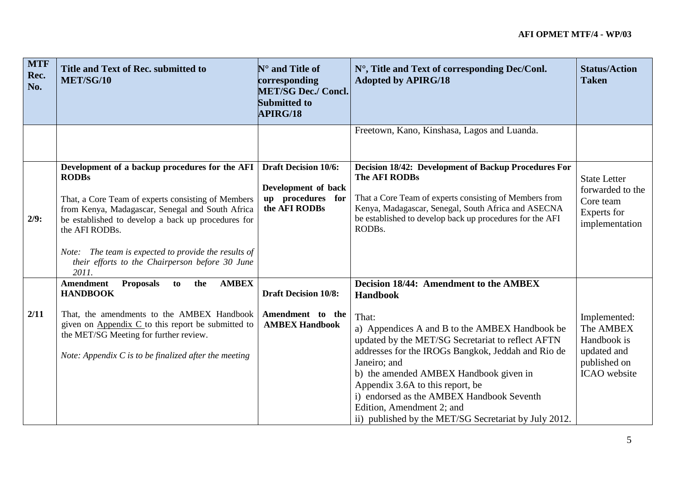| <b>MTF</b><br>Rec.<br>No. | Title and Text of Rec. submitted to<br><b>MET/SG/10</b>                                                                                                                                                                                                                                                                                                              | $N^{\circ}$ and Title of<br>corresponding<br><b>MET/SG Dec./ Concl.</b><br><b>Submitted to</b><br><b>APIRG/18</b> | N°, Title and Text of corresponding Dec/Conl.<br><b>Adopted by APIRG/18</b>                                                                                                                                                                                                                                                                                                                                                                                             | <b>Status/Action</b><br><b>Taken</b>                                                    |
|---------------------------|----------------------------------------------------------------------------------------------------------------------------------------------------------------------------------------------------------------------------------------------------------------------------------------------------------------------------------------------------------------------|-------------------------------------------------------------------------------------------------------------------|-------------------------------------------------------------------------------------------------------------------------------------------------------------------------------------------------------------------------------------------------------------------------------------------------------------------------------------------------------------------------------------------------------------------------------------------------------------------------|-----------------------------------------------------------------------------------------|
|                           |                                                                                                                                                                                                                                                                                                                                                                      |                                                                                                                   | Freetown, Kano, Kinshasa, Lagos and Luanda.                                                                                                                                                                                                                                                                                                                                                                                                                             |                                                                                         |
| 2/9:                      | Development of a backup procedures for the AFI<br><b>RODBs</b><br>That, a Core Team of experts consisting of Members<br>from Kenya, Madagascar, Senegal and South Africa<br>be established to develop a back up procedures for<br>the AFI RODBs.<br>Note: The team is expected to provide the results of<br>their efforts to the Chairperson before 30 June<br>2011. | <b>Draft Decision 10/6:</b><br>Development of back<br>up procedures for<br>the AFI RODBs                          | Decision 18/42: Development of Backup Procedures For<br>The AFI RODBs<br>That a Core Team of experts consisting of Members from<br>Kenya, Madagascar, Senegal, South Africa and ASECNA<br>be established to develop back up procedures for the AFI<br>RODBs.                                                                                                                                                                                                            | <b>State Letter</b><br>forwarded to the<br>Core team<br>Experts for<br>implementation   |
| 2/11                      | <b>Amendment</b><br><b>AMBEX</b><br><b>Proposals</b><br>to<br>the<br><b>HANDBOOK</b><br>That, the amendments to the AMBEX Handbook<br>given on Appendix $C$ to this report be submitted to<br>the MET/SG Meeting for further review.<br>Note: Appendix $C$ is to be finalized after the meeting                                                                      | <b>Draft Decision 10/8:</b><br>Amendment to the<br><b>AMBEX Handbook</b>                                          | <b>Decision 18/44: Amendment to the AMBEX</b><br><b>Handbook</b><br>That:<br>a) Appendices A and B to the AMBEX Handbook be<br>updated by the MET/SG Secretariat to reflect AFTN<br>addresses for the IROGs Bangkok, Jeddah and Rio de<br>Janeiro; and<br>b) the amended AMBEX Handbook given in<br>Appendix 3.6A to this report, be<br>i) endorsed as the AMBEX Handbook Seventh<br>Edition, Amendment 2; and<br>ii) published by the MET/SG Secretariat by July 2012. | Implemented:<br>The AMBEX<br>Handbook is<br>updated and<br>published on<br>ICAO website |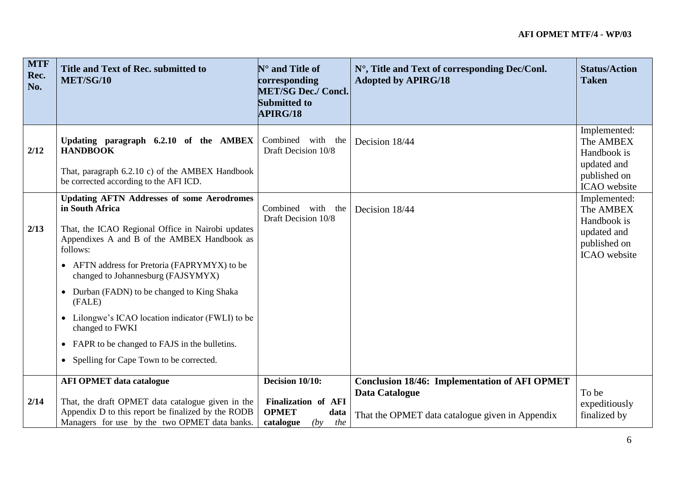| <b>MTF</b><br>Rec.<br>No. | Title and Text of Rec. submitted to<br>MET/SG/10                                                                                                                                                                                                                                                                                                                                                                                                                                                                                 | $\mathbb{N}^{\circ}$ and Title of<br>corresponding<br><b>MET/SG Dec./ Concl.</b><br><b>Submitted to</b><br><b>APIRG/18</b> | N°, Title and Text of corresponding Dec/Conl.<br><b>Adopted by APIRG/18</b>                                               | <b>Status/Action</b><br><b>Taken</b>                                                           |
|---------------------------|----------------------------------------------------------------------------------------------------------------------------------------------------------------------------------------------------------------------------------------------------------------------------------------------------------------------------------------------------------------------------------------------------------------------------------------------------------------------------------------------------------------------------------|----------------------------------------------------------------------------------------------------------------------------|---------------------------------------------------------------------------------------------------------------------------|------------------------------------------------------------------------------------------------|
| 2/12                      | Updating paragraph 6.2.10 of the AMBEX<br><b>HANDBOOK</b><br>That, paragraph 6.2.10 c) of the AMBEX Handbook<br>be corrected according to the AFI ICD.                                                                                                                                                                                                                                                                                                                                                                           | Combined<br>with<br>the<br>Draft Decision 10/8                                                                             | Decision 18/44                                                                                                            | Implemented:<br>The AMBEX<br>Handbook is<br>updated and<br>published on<br><b>ICAO</b> website |
| 2/13                      | <b>Updating AFTN Addresses of some Aerodromes</b><br>in South Africa<br>That, the ICAO Regional Office in Nairobi updates<br>Appendixes A and B of the AMBEX Handbook as<br>follows:<br>• AFTN address for Pretoria (FAPRYMYX) to be<br>changed to Johannesburg (FAJSYMYX)<br>Durban (FADN) to be changed to King Shaka<br>$\bullet$<br>(FALE)<br>Lilongwe's ICAO location indicator (FWLI) to be<br>$\bullet$<br>changed to FWKI<br>• FAPR to be changed to FAJS in the bulletins.<br>• Spelling for Cape Town to be corrected. | Combined with<br>the<br>Draft Decision 10/8                                                                                | Decision 18/44                                                                                                            | Implemented:<br>The AMBEX<br>Handbook is<br>updated and<br>published on<br><b>ICAO</b> website |
| 2/14                      | <b>AFI OPMET data catalogue</b><br>That, the draft OPMET data catalogue given in the<br>Appendix D to this report be finalized by the RODB<br>Managers for use by the two OPMET data banks.                                                                                                                                                                                                                                                                                                                                      | Decision 10/10:<br>Finalization of AFI<br><b>OPMET</b><br>data<br>catalogue<br>the<br>(by)                                 | <b>Conclusion 18/46: Implementation of AFI OPMET</b><br>Data Catalogue<br>That the OPMET data catalogue given in Appendix | To be<br>expeditiously<br>finalized by                                                         |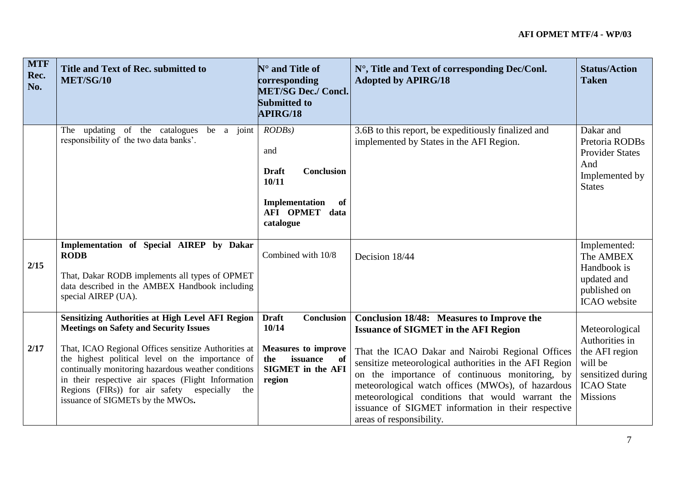| <b>MTF</b><br>Rec.<br>No. | Title and Text of Rec. submitted to<br>MET/SG/10                                                                                                                                                                                                                                                                                                                                                                          | $N^{\circ}$ and Title of<br>corresponding<br><b>MET/SG Dec./ Concl.</b><br><b>Submitted to</b><br><b>APIRG/18</b>                | N°, Title and Text of corresponding Dec/Conl.<br><b>Adopted by APIRG/18</b>                                                                                                                                                                                                                                                                                                                                                                         | <b>Status/Action</b><br><b>Taken</b>                                                                                       |
|---------------------------|---------------------------------------------------------------------------------------------------------------------------------------------------------------------------------------------------------------------------------------------------------------------------------------------------------------------------------------------------------------------------------------------------------------------------|----------------------------------------------------------------------------------------------------------------------------------|-----------------------------------------------------------------------------------------------------------------------------------------------------------------------------------------------------------------------------------------------------------------------------------------------------------------------------------------------------------------------------------------------------------------------------------------------------|----------------------------------------------------------------------------------------------------------------------------|
|                           | updating of the catalogues<br>be a joint<br>The<br>responsibility of the two data banks'.                                                                                                                                                                                                                                                                                                                                 | $RODBs$ )<br>and<br><b>Conclusion</b><br><b>Draft</b><br>10/11<br>Implementation<br>of<br>AFI OPMET data<br>catalogue            | 3.6B to this report, be expeditiously finalized and<br>implemented by States in the AFI Region.                                                                                                                                                                                                                                                                                                                                                     | Dakar and<br>Pretoria RODBs<br><b>Provider States</b><br>And<br>Implemented by<br><b>States</b>                            |
| 2/15                      | Implementation of Special AIREP by Dakar<br><b>RODB</b><br>That, Dakar RODB implements all types of OPMET<br>data described in the AMBEX Handbook including<br>special AIREP (UA).                                                                                                                                                                                                                                        | Combined with 10/8                                                                                                               | Decision 18/44                                                                                                                                                                                                                                                                                                                                                                                                                                      | Implemented:<br>The AMBEX<br>Handbook is<br>updated and<br>published on<br>ICAO website                                    |
| 2/17                      | <b>Sensitizing Authorities at High Level AFI Region</b><br><b>Meetings on Safety and Security Issues</b><br>That, ICAO Regional Offices sensitize Authorities at<br>the highest political level on the importance of<br>continually monitoring hazardous weather conditions<br>in their respective air spaces (Flight Information<br>Regions (FIRs)) for air safety especially<br>the<br>issuance of SIGMETs by the MWOs. | <b>Draft</b><br>Conclusion<br>10/14<br><b>Measures to improve</b><br>the<br>issuance<br>of<br><b>SIGMET</b> in the AFI<br>region | Conclusion 18/48: Measures to Improve the<br><b>Issuance of SIGMET in the AFI Region</b><br>That the ICAO Dakar and Nairobi Regional Offices<br>sensitize meteorological authorities in the AFI Region<br>on the importance of continuous monitoring, by<br>meteorological watch offices (MWOs), of hazardous<br>meteorological conditions that would warrant the<br>issuance of SIGMET information in their respective<br>areas of responsibility. | Meteorological<br>Authorities in<br>the AFI region<br>will be<br>sensitized during<br><b>ICAO</b> State<br><b>Missions</b> |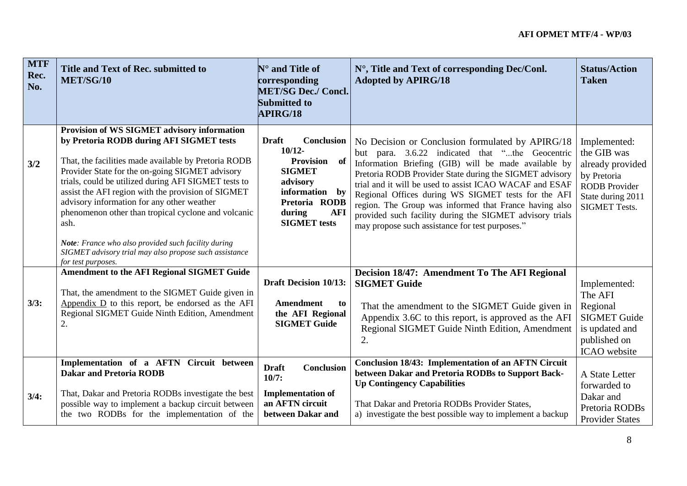| <b>MTF</b><br>Rec.<br>No. | Title and Text of Rec. submitted to<br>MET/SG/10                                                                                                                                                                                                                                                                                                                                                                                                                                     | $N^{\circ}$ and Title of<br>corresponding<br><b>MET/SG Dec./ Concl.</b><br><b>Submitted to</b><br>APIRG/18                                                                           | N°, Title and Text of corresponding Dec/Conl.<br><b>Adopted by APIRG/18</b>                                                                                                                                                                                                                                                                                                                                                                                                                                       | <b>Status/Action</b><br><b>Taken</b>                                                                                                |
|---------------------------|--------------------------------------------------------------------------------------------------------------------------------------------------------------------------------------------------------------------------------------------------------------------------------------------------------------------------------------------------------------------------------------------------------------------------------------------------------------------------------------|--------------------------------------------------------------------------------------------------------------------------------------------------------------------------------------|-------------------------------------------------------------------------------------------------------------------------------------------------------------------------------------------------------------------------------------------------------------------------------------------------------------------------------------------------------------------------------------------------------------------------------------------------------------------------------------------------------------------|-------------------------------------------------------------------------------------------------------------------------------------|
| 3/2                       | Provision of WS SIGMET advisory information<br>by Pretoria RODB during AFI SIGMET tests<br>That, the facilities made available by Pretoria RODB<br>Provider State for the on-going SIGMET advisory<br>trials, could be utilized during AFI SIGMET tests to<br>assist the AFI region with the provision of SIGMET<br>advisory information for any other weather<br>phenomenon other than tropical cyclone and volcanic<br>ash.<br>Note: France who also provided such facility during | <b>Draft</b><br>Conclusion<br>$10/12-$<br><b>Provision</b><br>- of<br><b>SIGMET</b><br>advisory<br>information<br>by<br>Pretoria RODB<br>during<br><b>AFI</b><br><b>SIGMET</b> tests | No Decision or Conclusion formulated by APIRG/18<br>but para. 3.6.22 indicated that "the Geocentric<br>Information Briefing (GIB) will be made available by<br>Pretoria RODB Provider State during the SIGMET advisory<br>trial and it will be used to assist ICAO WACAF and ESAF<br>Regional Offices during WS SIGMET tests for the AFI<br>region. The Group was informed that France having also<br>provided such facility during the SIGMET advisory trials<br>may propose such assistance for test purposes." | Implemented:<br>the GIB was<br>already provided<br>by Pretoria<br><b>RODB</b> Provider<br>State during 2011<br><b>SIGMET Tests.</b> |
|                           | SIGMET advisory trial may also propose such assistance<br>for test purposes.                                                                                                                                                                                                                                                                                                                                                                                                         |                                                                                                                                                                                      |                                                                                                                                                                                                                                                                                                                                                                                                                                                                                                                   |                                                                                                                                     |
| 3/3:                      | <b>Amendment to the AFI Regional SIGMET Guide</b><br>That, the amendment to the SIGMET Guide given in<br>Appendix $D$ to this report, be endorsed as the AFI<br>Regional SIGMET Guide Ninth Edition, Amendment<br>$\overline{2}$ .                                                                                                                                                                                                                                                   | <b>Draft Decision 10/13:</b><br><b>Amendment</b><br>to<br>the AFI Regional<br><b>SIGMET Guide</b>                                                                                    | Decision 18/47: Amendment To The AFI Regional<br><b>SIGMET Guide</b><br>That the amendment to the SIGMET Guide given in<br>Appendix 3.6C to this report, is approved as the AFI<br>Regional SIGMET Guide Ninth Edition, Amendment<br>2.                                                                                                                                                                                                                                                                           | Implemented:<br>The AFI<br>Regional<br><b>SIGMET Guide</b><br>is updated and<br>published on<br>ICAO website                        |
| 3/4:                      | Implementation of a AFTN Circuit between<br><b>Dakar and Pretoria RODB</b><br>That, Dakar and Pretoria RODBs investigate the best<br>possible way to implement a backup circuit between<br>the two RODBs for the implementation of the                                                                                                                                                                                                                                               | Conclusion<br><b>Draft</b><br>10/7:<br><b>Implementation of</b><br>an AFTN circuit<br>between Dakar and                                                                              | <b>Conclusion 18/43: Implementation of an AFTN Circuit</b><br>between Dakar and Pretoria RODBs to Support Back-<br><b>Up Contingency Capabilities</b><br>That Dakar and Pretoria RODBs Provider States,<br>a) investigate the best possible way to implement a backup                                                                                                                                                                                                                                             | A State Letter<br>forwarded to<br>Dakar and<br>Pretoria RODBs<br><b>Provider States</b>                                             |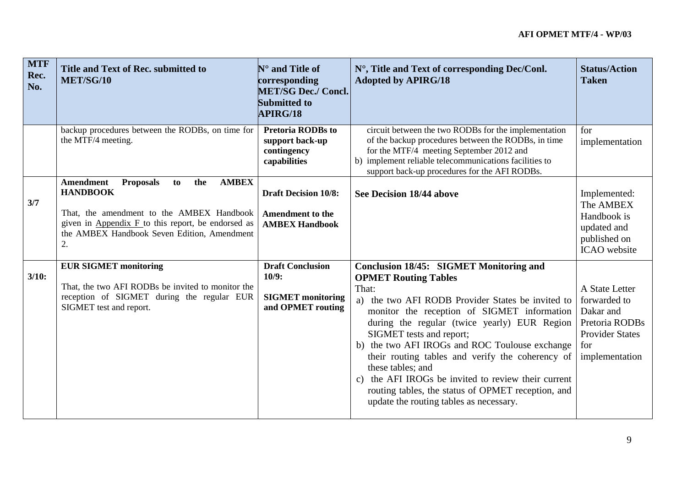| <b>MTF</b><br>Rec.<br>No. | Title and Text of Rec. submitted to<br>MET/SG/10                                                                                                                                                                                               | $\mathbf{N}^\circ$ and Title of<br>corresponding<br><b>MET/SG Dec./ Concl.</b><br><b>Submitted to</b><br><b>APIRG/18</b> | N°, Title and Text of corresponding Dec/Conl.<br><b>Adopted by APIRG/18</b>                                                                                                                                                                                                                                                                                                                                                                                                                                                                               | <b>Status/Action</b><br><b>Taken</b>                                                                             |
|---------------------------|------------------------------------------------------------------------------------------------------------------------------------------------------------------------------------------------------------------------------------------------|--------------------------------------------------------------------------------------------------------------------------|-----------------------------------------------------------------------------------------------------------------------------------------------------------------------------------------------------------------------------------------------------------------------------------------------------------------------------------------------------------------------------------------------------------------------------------------------------------------------------------------------------------------------------------------------------------|------------------------------------------------------------------------------------------------------------------|
|                           | backup procedures between the RODBs, on time for<br>the MTF/4 meeting.                                                                                                                                                                         | <b>Pretoria RODBs to</b><br>support back-up<br>contingency<br>capabilities                                               | circuit between the two RODBs for the implementation<br>of the backup procedures between the RODBs, in time<br>for the MTF/4 meeting September 2012 and<br>b) implement reliable telecommunications facilities to<br>support back-up procedures for the AFI RODBs.                                                                                                                                                                                                                                                                                        | for<br>implementation                                                                                            |
| 3/7                       | <b>Amendment</b><br><b>Proposals</b><br><b>AMBEX</b><br>the<br>to<br><b>HANDBOOK</b><br>That, the amendment to the AMBEX Handbook<br>given in Appendix $F$ to this report, be endorsed as<br>the AMBEX Handbook Seven Edition, Amendment<br>2. | <b>Draft Decision 10/8:</b><br><b>Amendment to the</b><br><b>AMBEX Handbook</b>                                          | See Decision 18/44 above                                                                                                                                                                                                                                                                                                                                                                                                                                                                                                                                  | Implemented:<br>The AMBEX<br>Handbook is<br>updated and<br>published on<br><b>ICAO</b> website                   |
| 3/10:                     | <b>EUR SIGMET monitoring</b><br>That, the two AFI RODBs be invited to monitor the<br>reception of SIGMET during the regular EUR<br>SIGMET test and report.                                                                                     | <b>Draft Conclusion</b><br>10/9:<br><b>SIGMET</b> monitoring<br>and OPMET routing                                        | <b>Conclusion 18/45: SIGMET Monitoring and</b><br><b>OPMET Routing Tables</b><br>That:<br>a) the two AFI RODB Provider States be invited to<br>monitor the reception of SIGMET information<br>during the regular (twice yearly) EUR Region<br>SIGMET tests and report;<br>b) the two AFI IROGs and ROC Toulouse exchange<br>their routing tables and verify the coherency of<br>these tables; and<br>c) the AFI IROGs be invited to review their current<br>routing tables, the status of OPMET reception, and<br>update the routing tables as necessary. | A State Letter<br>forwarded to<br>Dakar and<br>Pretoria RODBs<br><b>Provider States</b><br>for<br>implementation |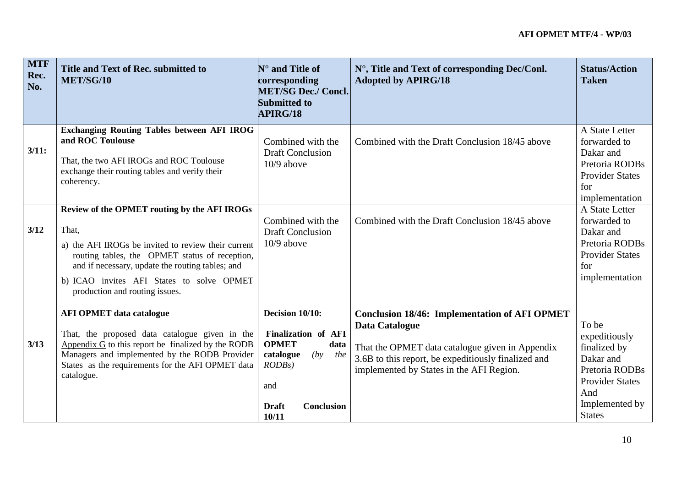| <b>MTF</b><br>Rec.<br>No. | Title and Text of Rec. submitted to<br>MET/SG/10                                                                                                                                                                                                                                                  | $N^{\circ}$ and Title of<br>corresponding<br><b>MET/SG Dec./ Concl.</b><br>Submitted to<br><b>APIRG/18</b>                                           | N°, Title and Text of corresponding Dec/Conl.<br><b>Adopted by APIRG/18</b>                                                                                                                                                         | <b>Status/Action</b><br><b>Taken</b>                                                                                                      |
|---------------------------|---------------------------------------------------------------------------------------------------------------------------------------------------------------------------------------------------------------------------------------------------------------------------------------------------|------------------------------------------------------------------------------------------------------------------------------------------------------|-------------------------------------------------------------------------------------------------------------------------------------------------------------------------------------------------------------------------------------|-------------------------------------------------------------------------------------------------------------------------------------------|
| 3/11:                     | <b>Exchanging Routing Tables between AFI IROG</b><br>and ROC Toulouse<br>That, the two AFI IROGs and ROC Toulouse<br>exchange their routing tables and verify their<br>coherency.                                                                                                                 | Combined with the<br><b>Draft Conclusion</b><br>$10/9$ above                                                                                         | Combined with the Draft Conclusion 18/45 above                                                                                                                                                                                      | A State Letter<br>forwarded to<br>Dakar and<br>Pretoria RODBs<br><b>Provider States</b><br>for<br>implementation                          |
| 3/12                      | Review of the OPMET routing by the AFI IROGs<br>That,<br>a) the AFI IROGs be invited to review their current<br>routing tables, the OPMET status of reception,<br>and if necessary, update the routing tables; and<br>b) ICAO invites AFI States to solve OPMET<br>production and routing issues. | Combined with the<br><b>Draft Conclusion</b><br>$10/9$ above                                                                                         | Combined with the Draft Conclusion 18/45 above                                                                                                                                                                                      | A State Letter<br>forwarded to<br>Dakar and<br>Pretoria RODBs<br><b>Provider States</b><br>for<br>implementation                          |
| 3/13                      | <b>AFI OPMET data catalogue</b><br>That, the proposed data catalogue given in the<br>Appendix $G$ to this report be finalized by the RODB<br>Managers and implemented by the RODB Provider<br>States as the requirements for the AFI OPMET data<br>catalogue.                                     | Decision 10/10:<br>Finalization of AFI<br><b>OPMET</b><br>data<br>catalogue<br>(by<br>the<br>$RODBs$ )<br>and<br>Conclusion<br><b>Draft</b><br>10/11 | <b>Conclusion 18/46: Implementation of AFI OPMET</b><br><b>Data Catalogue</b><br>That the OPMET data catalogue given in Appendix<br>3.6B to this report, be expeditiously finalized and<br>implemented by States in the AFI Region. | To be<br>expeditiously<br>finalized by<br>Dakar and<br>Pretoria RODBs<br><b>Provider States</b><br>And<br>Implemented by<br><b>States</b> |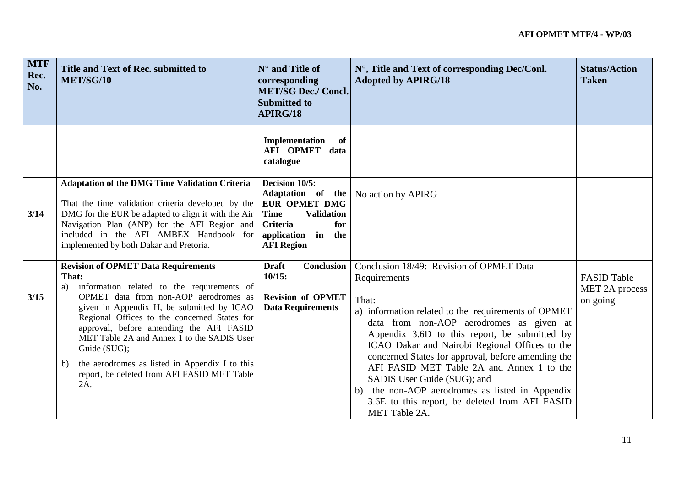| <b>MTF</b><br>Rec.<br>No. | Title and Text of Rec. submitted to<br>MET/SG/10                                                                                                                                                                                                                                                                                                                                                                                                                     | $\mathbf{N}^\circ$ and Title of<br>corresponding<br><b>MET/SG Dec./ Concl.</b><br>Submitted to<br><b>APIRG/18</b>                                             | N°, Title and Text of corresponding Dec/Conl.<br><b>Adopted by APIRG/18</b>                                                                                                                                                                                                                                                                                                                                                                                                                                                     | <b>Status/Action</b><br><b>Taken</b>             |
|---------------------------|----------------------------------------------------------------------------------------------------------------------------------------------------------------------------------------------------------------------------------------------------------------------------------------------------------------------------------------------------------------------------------------------------------------------------------------------------------------------|---------------------------------------------------------------------------------------------------------------------------------------------------------------|---------------------------------------------------------------------------------------------------------------------------------------------------------------------------------------------------------------------------------------------------------------------------------------------------------------------------------------------------------------------------------------------------------------------------------------------------------------------------------------------------------------------------------|--------------------------------------------------|
|                           |                                                                                                                                                                                                                                                                                                                                                                                                                                                                      | Implementation<br>of<br>AFI OPMET data<br>catalogue                                                                                                           |                                                                                                                                                                                                                                                                                                                                                                                                                                                                                                                                 |                                                  |
| 3/14                      | <b>Adaptation of the DMG Time Validation Criteria</b><br>That the time validation criteria developed by the<br>DMG for the EUR be adapted to align it with the Air<br>Navigation Plan (ANP) for the AFI Region and<br>included in the AFI AMBEX Handbook for<br>implemented by both Dakar and Pretoria.                                                                                                                                                              | Decision 10/5:<br>Adaptation of the<br><b>EUR OPMET DMG</b><br><b>Time</b><br><b>Validation</b><br>for<br>Criteria<br>application in the<br><b>AFI Region</b> | No action by APIRG                                                                                                                                                                                                                                                                                                                                                                                                                                                                                                              |                                                  |
| 3/15                      | <b>Revision of OPMET Data Requirements</b><br>That:<br>information related to the requirements of<br>a)<br>OPMET data from non-AOP aerodromes as<br>given in Appendix H, be submitted by ICAO<br>Regional Offices to the concerned States for<br>approval, before amending the AFI FASID<br>MET Table 2A and Annex 1 to the SADIS User<br>Guide (SUG);<br>the aerodromes as listed in Appendix I to this<br>b)<br>report, be deleted from AFI FASID MET Table<br>2A. | <b>Draft</b><br>Conclusion<br>10/15:<br><b>Revision of OPMET</b><br><b>Data Requirements</b>                                                                  | Conclusion 18/49: Revision of OPMET Data<br>Requirements<br>That:<br>a) information related to the requirements of OPMET<br>data from non-AOP aerodromes as given at<br>Appendix 3.6D to this report, be submitted by<br>ICAO Dakar and Nairobi Regional Offices to the<br>concerned States for approval, before amending the<br>AFI FASID MET Table 2A and Annex 1 to the<br>SADIS User Guide (SUG); and<br>b) the non-AOP aerodromes as listed in Appendix<br>3.6E to this report, be deleted from AFI FASID<br>MET Table 2A. | <b>FASID Table</b><br>MET 2A process<br>on going |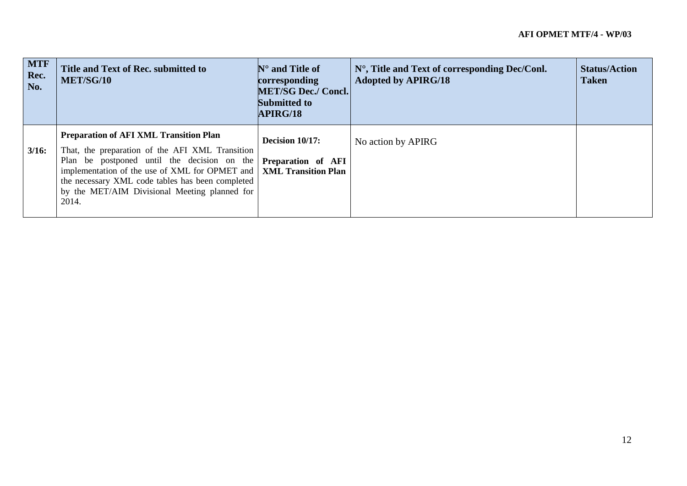| <b>MTF</b><br>Rec.<br>No. | Title and Text of Rec. submitted to<br>MET/SG/10                                                                                                                                                                                                                                                                                                                | $\mathbb{N}^{\circ}$ and Title of<br>corresponding<br><b>MET/SG Dec./ Concl.</b><br>Submitted to<br>APIRG/18 | $N^{\circ}$ , Title and Text of corresponding Dec/Conl.<br><b>Adopted by APIRG/18</b> | <b>Status/Action</b><br><b>Taken</b> |
|---------------------------|-----------------------------------------------------------------------------------------------------------------------------------------------------------------------------------------------------------------------------------------------------------------------------------------------------------------------------------------------------------------|--------------------------------------------------------------------------------------------------------------|---------------------------------------------------------------------------------------|--------------------------------------|
| $3/16$ :                  | <b>Preparation of AFI XML Transition Plan</b><br>That, the preparation of the AFI XML Transition<br>Plan be postponed until the decision on the <b>Preparation of AFI</b><br>implementation of the use of XML for OPMET and   XML Transition Plan<br>the necessary XML code tables has been completed<br>by the MET/AIM Divisional Meeting planned for<br>2014. | Decision 10/17:                                                                                              | No action by APIRG                                                                    |                                      |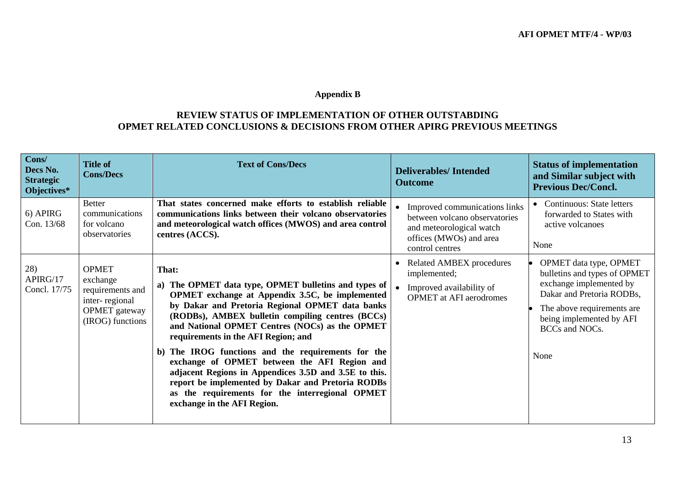### **Appendix B**

## **REVIEW STATUS OF IMPLEMENTATION OF OTHER OUTSTABDING OPMET RELATED CONCLUSIONS & DECISIONS FROM OTHER APIRG PREVIOUS MEETINGS**

| Cons/<br>Decs No.<br><b>Strategic</b><br>Objectives* | <b>Title of</b><br><b>Cons/Decs</b>                                                                        | <b>Text of Cons/Decs</b>                                                                                                                                                                                                                                                                                                                                                                                                                                                                                                                                                                                                     | <b>Deliverables/Intended</b><br><b>Outcome</b>                                                                                           | <b>Status of implementation</b><br>and Similar subject with<br><b>Previous Dec/Concl.</b>                                                                                                          |
|------------------------------------------------------|------------------------------------------------------------------------------------------------------------|------------------------------------------------------------------------------------------------------------------------------------------------------------------------------------------------------------------------------------------------------------------------------------------------------------------------------------------------------------------------------------------------------------------------------------------------------------------------------------------------------------------------------------------------------------------------------------------------------------------------------|------------------------------------------------------------------------------------------------------------------------------------------|----------------------------------------------------------------------------------------------------------------------------------------------------------------------------------------------------|
| 6) APIRG<br>Con. 13/68                               | <b>Better</b><br>communications<br>for volcano<br>observatories                                            | That states concerned make efforts to establish reliable<br>communications links between their volcano observatories<br>and meteorological watch offices (MWOS) and area control<br>centres (ACCS).                                                                                                                                                                                                                                                                                                                                                                                                                          | Improved communications links<br>between volcano observatories<br>and meteorological watch<br>offices (MWOs) and area<br>control centres | <b>Continuous: State letters</b><br>forwarded to States with<br>active volcanoes<br>None                                                                                                           |
| 28)<br>APIRG/17<br>Concl. 17/75                      | <b>OPMET</b><br>exchange<br>requirements and<br>inter-regional<br><b>OPMET</b> gateway<br>(IROG) functions | That:<br>The OPMET data type, OPMET bulletins and types of<br>a)<br>OPMET exchange at Appendix 3.5C, be implemented<br>by Dakar and Pretoria Regional OPMET data banks<br>(RODBs), AMBEX bulletin compiling centres (BCCs)<br>and National OPMET Centres (NOCs) as the OPMET<br>requirements in the AFI Region; and<br>The IROG functions and the requirements for the<br>b)<br>exchange of OPMET between the AFI Region and<br>adjacent Regions in Appendices 3.5D and 3.5E to this.<br>report be implemented by Dakar and Pretoria RODBs<br>as the requirements for the interregional OPMET<br>exchange in the AFI Region. | <b>Related AMBEX procedures</b><br>implemented;<br>Improved availability of<br><b>OPMET</b> at AFI aerodromes                            | OPMET data type, OPMET<br>bulletins and types of OPMET<br>exchange implemented by<br>Dakar and Pretoria RODBs,<br>The above requirements are<br>being implemented by AFI<br>BCCs and NOCs.<br>None |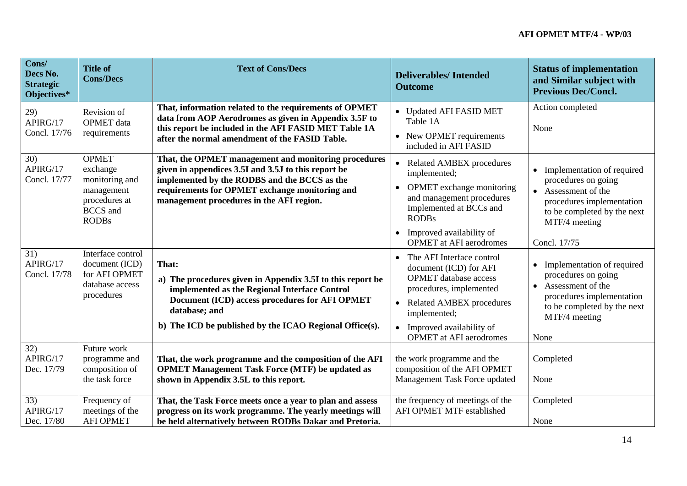| Cons/<br>Decs No.<br><b>Strategic</b><br>Objectives* | <b>Title of</b><br><b>Cons/Decs</b>                                                                          | <b>Text of Cons/Decs</b>                                                                                                                                                                                                                                  | <b>Deliverables/Intended</b><br><b>Outcome</b>                                                                                                                                                                                                                         | <b>Status of implementation</b><br>and Similar subject with<br><b>Previous Dec/Concl.</b>                                                                               |
|------------------------------------------------------|--------------------------------------------------------------------------------------------------------------|-----------------------------------------------------------------------------------------------------------------------------------------------------------------------------------------------------------------------------------------------------------|------------------------------------------------------------------------------------------------------------------------------------------------------------------------------------------------------------------------------------------------------------------------|-------------------------------------------------------------------------------------------------------------------------------------------------------------------------|
| 29)<br>APIRG/17<br>Concl. 17/76                      | Revision of<br><b>OPMET</b> data<br>requirements                                                             | That, information related to the requirements of OPMET<br>data from AOP Aerodromes as given in Appendix 3.5F to<br>this report be included in the AFI FASID MET Table 1A<br>after the normal amendment of the FASID Table.                                | • Updated AFI FASID MET<br>Table 1A<br>• New OPMET requirements<br>included in AFI FASID                                                                                                                                                                               | Action completed<br>None                                                                                                                                                |
| 30)<br>APIRG/17<br>Concl. 17/77                      | <b>OPMET</b><br>exchange<br>monitoring and<br>management<br>procedures at<br><b>BCCS</b> and<br><b>RODBs</b> | That, the OPMET management and monitoring procedures<br>given in appendices 3.5I and 3.5J to this report be<br>implemented by the RODBS and the BCCS as the<br>requirements for OPMET exchange monitoring and<br>management procedures in the AFI region. | <b>Related AMBEX procedures</b><br>$\bullet$<br>implemented;<br>OPMET exchange monitoring<br>$\bullet$<br>and management procedures<br>Implemented at BCCs and<br><b>RODBs</b><br>Improved availability of<br>$\bullet$<br><b>OPMET</b> at AFI aerodromes              | • Implementation of required<br>procedures on going<br>• Assessment of the<br>procedures implementation<br>to be completed by the next<br>MTF/4 meeting<br>Concl. 17/75 |
| 31)<br>APIRG/17<br>Concl. 17/78                      | Interface control<br>document (ICD)<br>for AFI OPMET<br>database access<br>procedures                        | That:<br>a) The procedures given in Appendix 3.5I to this report be<br>implemented as the Regional Interface Control<br>Document (ICD) access procedures for AFI OPMET<br>database; and<br>b) The ICD be published by the ICAO Regional Office(s).        | The AFI Interface control<br>$\bullet$<br>document (ICD) for AFI<br><b>OPMET</b> database access<br>procedures, implemented<br><b>Related AMBEX procedures</b><br>$\bullet$<br>implemented;<br>Improved availability of<br>$\bullet$<br><b>OPMET</b> at AFI aerodromes | • Implementation of required<br>procedures on going<br>Assessment of the<br>procedures implementation<br>to be completed by the next<br>MTF/4 meeting<br>None           |
| 32)<br>APIRG/17<br>Dec. 17/79                        | Future work<br>programme and<br>composition of<br>the task force                                             | That, the work programme and the composition of the AFI<br><b>OPMET Management Task Force (MTF) be updated as</b><br>shown in Appendix 3.5L to this report.                                                                                               | the work programme and the<br>composition of the AFI OPMET<br>Management Task Force updated                                                                                                                                                                            | Completed<br>None                                                                                                                                                       |
| 33)<br>APIRG/17<br>Dec. 17/80                        | Frequency of<br>meetings of the<br><b>AFI OPMET</b>                                                          | That, the Task Force meets once a year to plan and assess<br>progress on its work programme. The yearly meetings will<br>be held alternatively between RODBs Dakar and Pretoria.                                                                          | the frequency of meetings of the<br><b>AFI OPMET MTF established</b>                                                                                                                                                                                                   | Completed<br>None                                                                                                                                                       |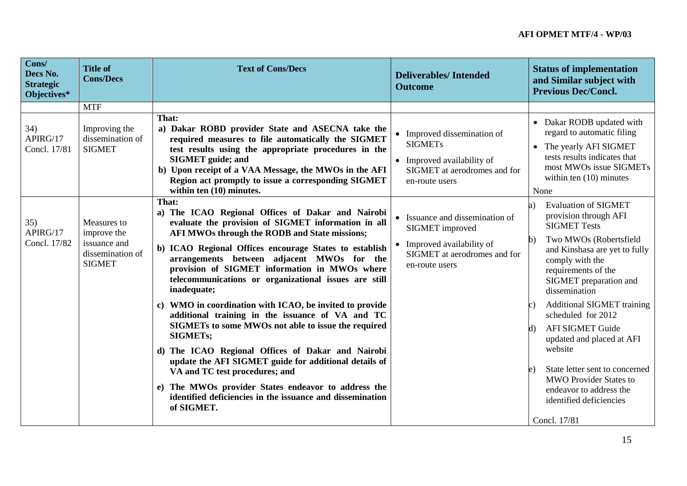| Cons/<br>Decs No.<br><b>Strategic</b><br>Objectives* | <b>Title of</b><br><b>Cons/Decs</b>                                             | <b>Text of Cons/Decs</b>                                                                                                                                                                                                                                                                                                                                                                                                                                                                                                                                                                                                                                                                                                                                                                                                                                                       | <b>Deliverables/Intended</b><br><b>Outcome</b>                                                                                     | <b>Status of implementation</b><br>and Similar subject with<br><b>Previous Dec/Concl.</b>                                                                                                                                                                                                                                                                                                                                                                                                                                                               |
|------------------------------------------------------|---------------------------------------------------------------------------------|--------------------------------------------------------------------------------------------------------------------------------------------------------------------------------------------------------------------------------------------------------------------------------------------------------------------------------------------------------------------------------------------------------------------------------------------------------------------------------------------------------------------------------------------------------------------------------------------------------------------------------------------------------------------------------------------------------------------------------------------------------------------------------------------------------------------------------------------------------------------------------|------------------------------------------------------------------------------------------------------------------------------------|---------------------------------------------------------------------------------------------------------------------------------------------------------------------------------------------------------------------------------------------------------------------------------------------------------------------------------------------------------------------------------------------------------------------------------------------------------------------------------------------------------------------------------------------------------|
|                                                      | <b>MTF</b>                                                                      |                                                                                                                                                                                                                                                                                                                                                                                                                                                                                                                                                                                                                                                                                                                                                                                                                                                                                |                                                                                                                                    |                                                                                                                                                                                                                                                                                                                                                                                                                                                                                                                                                         |
| 34)<br>APIRG/17<br>Concl. 17/81                      | Improving the<br>dissemination of<br><b>SIGMET</b>                              | That:<br>a) Dakar ROBD provider State and ASECNA take the<br>required measures to file automatically the SIGMET<br>test results using the appropriate procedures in the<br><b>SIGMET</b> guide; and<br>b) Upon receipt of a VAA Message, the MWOs in the AFI<br>Region act promptly to issue a corresponding SIGMET<br>within ten (10) minutes.                                                                                                                                                                                                                                                                                                                                                                                                                                                                                                                                | • Improved dissemination of<br><b>SIGMETs</b><br>• Improved availability of<br>SIGMET at aerodromes and for<br>en-route users      | • Dakar RODB updated with<br>regard to automatic filing<br>The yearly AFI SIGMET<br>$\bullet$<br>tests results indicates that<br>most MWOs issue SIGMETs<br>within ten $(10)$ minutes<br>None                                                                                                                                                                                                                                                                                                                                                           |
| 35)<br>APIRG/17<br>Concl. 17/82                      | Measures to<br>improve the<br>issuance and<br>dissemination of<br><b>SIGMET</b> | That:<br>a) The ICAO Regional Offices of Dakar and Nairobi<br>evaluate the provision of SIGMET information in all<br>AFI MWOs through the RODB and State missions;<br>b) ICAO Regional Offices encourage States to establish<br>arrangements between adjacent MWOs for the<br>provision of SIGMET information in MWOs where<br>telecommunications or organizational issues are still<br>inadequate;<br>c) WMO in coordination with ICAO, be invited to provide<br>additional training in the issuance of VA and TC<br>SIGMETs to some MWOs not able to issue the required<br><b>SIGMETs;</b><br>d) The ICAO Regional Offices of Dakar and Nairobi<br>update the AFI SIGMET guide for additional details of<br>VA and TC test procedures; and<br>e) The MWOs provider States endeavor to address the<br>identified deficiencies in the issuance and dissemination<br>of SIGMET. | • Issuance and dissemination of<br>SIGMET improved<br>• Improved availability of<br>SIGMET at aerodromes and for<br>en-route users | <b>Evaluation of SIGMET</b><br>a)<br>provision through AFI<br><b>SIGMET Tests</b><br>Two MWOs (Robertsfield<br>$\mathbf{b}$<br>and Kinshasa are yet to fully<br>comply with the<br>requirements of the<br>SIGMET preparation and<br>dissemination<br><b>Additional SIGMET training</b><br>$\mathbf{c}$ )<br>scheduled for 2012<br><b>AFI SIGMET Guide</b><br>kJ)<br>updated and placed at AFI<br>website<br>State letter sent to concerned<br>e)<br><b>MWO Provider States to</b><br>endeavor to address the<br>identified deficiencies<br>Concl. 17/81 |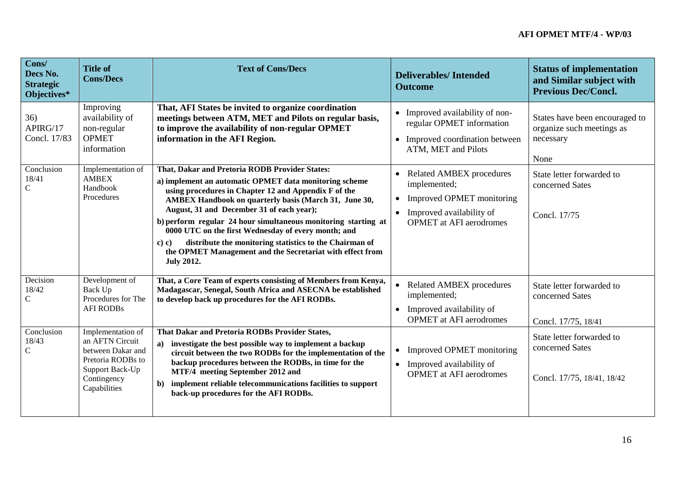| Cons/<br>Decs No.<br><b>Strategic</b><br>Objectives* | <b>Title of</b><br><b>Cons/Decs</b>                                                                                              | <b>Text of Cons/Decs</b>                                                                                                                                                                                                                                                                                                                                                                                                                                                                                                                              | <b>Deliverables/Intended</b><br><b>Outcome</b>                                                                                                                       | <b>Status of implementation</b><br>and Similar subject with<br><b>Previous Dec/Concl.</b> |
|------------------------------------------------------|----------------------------------------------------------------------------------------------------------------------------------|-------------------------------------------------------------------------------------------------------------------------------------------------------------------------------------------------------------------------------------------------------------------------------------------------------------------------------------------------------------------------------------------------------------------------------------------------------------------------------------------------------------------------------------------------------|----------------------------------------------------------------------------------------------------------------------------------------------------------------------|-------------------------------------------------------------------------------------------|
| 36)<br>APIRG/17<br>Concl. 17/83                      | Improving<br>availability of<br>non-regular<br><b>OPMET</b><br>information                                                       | That, AFI States be invited to organize coordination<br>meetings between ATM, MET and Pilots on regular basis,<br>to improve the availability of non-regular OPMET<br>information in the AFI Region.                                                                                                                                                                                                                                                                                                                                                  | Improved availability of non-<br>regular OPMET information<br>Improved coordination between<br>$\bullet$<br>ATM, MET and Pilots                                      | States have been encouraged to<br>organize such meetings as<br>necessary<br>None          |
| Conclusion<br>18/41<br>$\mathbf C$                   | Implementation of<br><b>AMBEX</b><br>Handbook<br>Procedures                                                                      | That, Dakar and Pretoria RODB Provider States:<br>a) implement an automatic OPMET data monitoring scheme<br>using procedures in Chapter 12 and Appendix F of the<br>AMBEX Handbook on quarterly basis (March 31, June 30,<br>August, 31 and December 31 of each year);<br>b) perform regular 24 hour simultaneous monitoring starting at<br>0000 UTC on the first Wednesday of every month; and<br>distribute the monitoring statistics to the Chairman of<br>c) c)<br>the OPMET Management and the Secretariat with effect from<br><b>July 2012.</b> | <b>Related AMBEX procedures</b><br>implemented;<br>Improved OPMET monitoring<br>$\bullet$<br>Improved availability of<br>$\bullet$<br><b>OPMET</b> at AFI aerodromes | State letter forwarded to<br>concerned Sates<br>Concl. 17/75                              |
| Decision<br>18/42<br>$\mathbf C$                     | Development of<br>Back Up<br>Procedures for The<br><b>AFI RODBs</b>                                                              | That, a Core Team of experts consisting of Members from Kenya,<br>Madagascar, Senegal, South Africa and ASECNA be established<br>to develop back up procedures for the AFI RODBs.                                                                                                                                                                                                                                                                                                                                                                     | <b>Related AMBEX procedures</b><br>$\bullet$<br>implemented;<br>Improved availability of<br>$\bullet$<br><b>OPMET</b> at AFI aerodromes                              | State letter forwarded to<br>concerned Sates<br>Concl. 17/75, 18/41                       |
| Conclusion<br>18/43<br>$\mathsf{C}$                  | Implementation of<br>an AFTN Circuit<br>between Dakar and<br>Pretoria RODBs to<br>Support Back-Up<br>Contingency<br>Capabilities | That Dakar and Pretoria RODBs Provider States,<br>investigate the best possible way to implement a backup<br>a)<br>circuit between the two RODBs for the implementation of the<br>backup procedures between the RODBs, in time for the<br>MTF/4 meeting September 2012 and<br>implement reliable telecommunications facilities to support<br>$\mathbf{b}$<br>back-up procedures for the AFI RODBs.                                                                                                                                                    | Improved OPMET monitoring<br>$\bullet$<br>Improved availability of<br>$\bullet$<br><b>OPMET</b> at AFI aerodromes                                                    | State letter forwarded to<br>concerned Sates<br>Concl. 17/75, 18/41, 18/42                |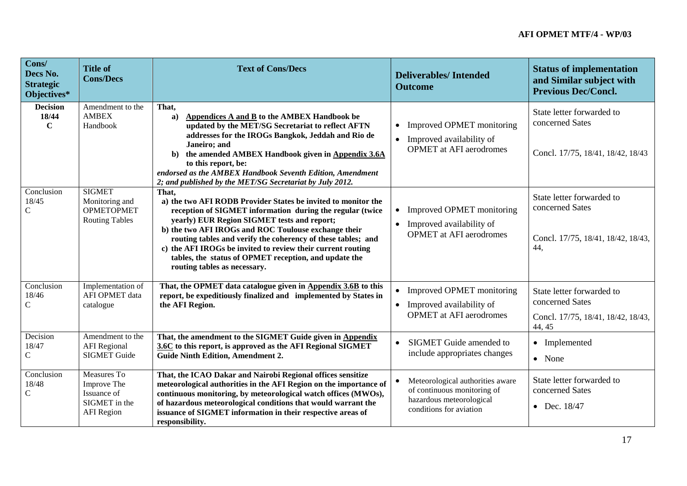| Cons/<br>Decs No.<br><b>Strategic</b><br>Objectives* | <b>Title of</b><br><b>Cons/Decs</b>                                             | <b>Text of Cons/Decs</b>                                                                                                                                                                                                                                                                                                                                                                                                                                           | <b>Deliverables/Intended</b><br><b>Outcome</b>                                                                                      | <b>Status of implementation</b><br>and Similar subject with<br><b>Previous Dec/Concl.</b>    |
|------------------------------------------------------|---------------------------------------------------------------------------------|--------------------------------------------------------------------------------------------------------------------------------------------------------------------------------------------------------------------------------------------------------------------------------------------------------------------------------------------------------------------------------------------------------------------------------------------------------------------|-------------------------------------------------------------------------------------------------------------------------------------|----------------------------------------------------------------------------------------------|
| <b>Decision</b><br>18/44<br>$\mathbf C$              | Amendment to the<br><b>AMBEX</b><br>Handbook                                    | That,<br>Appendices A and B to the AMBEX Handbook be<br>$\mathbf{a}$<br>updated by the MET/SG Secretariat to reflect AFTN<br>addresses for the IROGs Bangkok, Jeddah and Rio de<br>Janeiro; and<br>the amended AMBEX Handbook given in Appendix 3.6A<br>b)<br>to this report, be:<br>endorsed as the AMBEX Handbook Seventh Edition, Amendment<br>2; and published by the MET/SG Secretariat by July 2012.                                                         | Improved OPMET monitoring<br>$\bullet$<br>Improved availability of<br>$\bullet$<br><b>OPMET</b> at AFI aerodromes                   | State letter forwarded to<br>concerned Sates<br>Concl. 17/75, 18/41, 18/42, 18/43            |
| Conclusion<br>18/45<br>$\mathbf C$                   | <b>SIGMET</b><br>Monitoring and<br><b>OPMETOPMET</b><br><b>Routing Tables</b>   | That.<br>a) the two AFI RODB Provider States be invited to monitor the<br>reception of SIGMET information during the regular (twice<br>yearly) EUR Region SIGMET tests and report;<br>b) the two AFI IROGs and ROC Toulouse exchange their<br>routing tables and verify the coherency of these tables; and<br>c) the AFI IROGs be invited to review their current routing<br>tables, the status of OPMET reception, and update the<br>routing tables as necessary. | Improved OPMET monitoring<br>$\bullet$<br>Improved availability of<br>$\bullet$<br><b>OPMET</b> at AFI aerodromes                   | State letter forwarded to<br>concerned Sates<br>Concl. 17/75, 18/41, 18/42, 18/43,<br>44,    |
| Conclusion<br>18/46<br>$\mathsf{C}$                  | Implementation of<br>AFI OPMET data<br>catalogue                                | That, the OPMET data catalogue given in Appendix 3.6B to this<br>report, be expeditiously finalized and implemented by States in<br>the AFI Region.                                                                                                                                                                                                                                                                                                                | Improved OPMET monitoring<br>• Improved availability of<br><b>OPMET</b> at AFI aerodromes                                           | State letter forwarded to<br>concerned Sates<br>Concl. 17/75, 18/41, 18/42, 18/43,<br>44, 45 |
| Decision<br>18/47<br>$\mathcal{C}$                   | Amendment to the<br><b>AFI</b> Regional<br><b>SIGMET Guide</b>                  | That, the amendment to the SIGMET Guide given in Appendix<br>3.6C to this report, is approved as the AFI Regional SIGMET<br><b>Guide Ninth Edition, Amendment 2.</b>                                                                                                                                                                                                                                                                                               | <b>SIGMET</b> Guide amended to<br>$\bullet$<br>include appropriates changes                                                         | • Implemented<br>• None                                                                      |
| Conclusion<br>18/48<br>$\mathbf C$                   | Measures To<br>Improve The<br>Issuance of<br>SIGMET in the<br><b>AFI</b> Region | That, the ICAO Dakar and Nairobi Regional offices sensitize<br>meteorological authorities in the AFI Region on the importance of<br>continuous monitoring, by meteorological watch offices (MWOs),<br>of hazardous meteorological conditions that would warrant the<br>issuance of SIGMET information in their respective areas of<br>responsibility.                                                                                                              | Meteorological authorities aware<br>$\bullet$<br>of continuous monitoring of<br>hazardous meteorological<br>conditions for aviation | State letter forwarded to<br>concerned Sates<br>• Dec. $18/47$                               |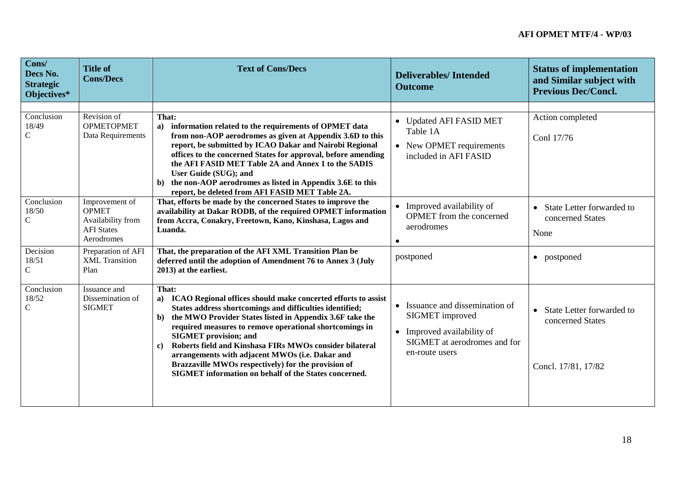| Cons/<br>Decs No.<br><b>Strategic</b><br>Objectives* | <b>Title of</b><br><b>Cons/Decs</b>                                                    | <b>Text of Cons/Decs</b>                                                                                                                                                                                                                                                                                                                                                                                                                                                                                                                                   | <b>Deliverables/Intended</b><br><b>Outcome</b>                                                                                                | <b>Status of implementation</b><br>and Similar subject with<br><b>Previous Dec/Concl.</b> |
|------------------------------------------------------|----------------------------------------------------------------------------------------|------------------------------------------------------------------------------------------------------------------------------------------------------------------------------------------------------------------------------------------------------------------------------------------------------------------------------------------------------------------------------------------------------------------------------------------------------------------------------------------------------------------------------------------------------------|-----------------------------------------------------------------------------------------------------------------------------------------------|-------------------------------------------------------------------------------------------|
|                                                      |                                                                                        |                                                                                                                                                                                                                                                                                                                                                                                                                                                                                                                                                            |                                                                                                                                               |                                                                                           |
| Conclusion<br>18/49<br>$\mathbf C$                   | Revision of<br><b>OPMETOPMET</b><br>Data Requirements                                  | That:<br>information related to the requirements of OPMET data<br>a)<br>from non-AOP aerodromes as given at Appendix 3.6D to this<br>report, be submitted by ICAO Dakar and Nairobi Regional<br>offices to the concerned States for approval, before amending<br>the AFI FASID MET Table 2A and Annex 1 to the SADIS<br>User Guide (SUG); and<br>the non-AOP aerodromes as listed in Appendix 3.6E to this<br>b)<br>report, be deleted from AFI FASID MET Table 2A.                                                                                        | • Updated AFI FASID MET<br>Table 1A<br>• New OPMET requirements<br>included in AFI FASID                                                      | Action completed<br>Conl 17/76                                                            |
| Conclusion<br>18/50<br>$\mathcal{C}$                 | Improvement of<br><b>OPMET</b><br>Availability from<br><b>AFI</b> States<br>Aerodromes | That, efforts be made by the concerned States to improve the<br>availability at Dakar RODB, of the required OPMET information<br>from Accra, Conakry, Freetown, Kano, Kinshasa, Lagos and<br>Luanda.                                                                                                                                                                                                                                                                                                                                                       | • Improved availability of<br><b>OPMET</b> from the concerned<br>aerodromes<br>$\bullet$                                                      | State Letter forwarded to<br>$\bullet$<br>concerned States<br>None                        |
| Decision<br>18/51<br>$\mathbf C$                     | Preparation of AFI<br><b>XML</b> Transition<br>Plan                                    | That, the preparation of the AFI XML Transition Plan be<br>deferred until the adoption of Amendment 76 to Annex 3 (July<br>2013) at the earliest.                                                                                                                                                                                                                                                                                                                                                                                                          | postponed                                                                                                                                     | • postponed                                                                               |
| Conclusion<br>18/52<br>$\mathbf C$                   | Issuance and<br>Dissemination of<br><b>SIGMET</b>                                      | That:<br>a) ICAO Regional offices should make concerted efforts to assist<br>States address shortcomings and difficulties identified;<br>the MWO Provider States listed in Appendix 3.6F take the<br>$\mathbf{b}$<br>required measures to remove operational shortcomings in<br><b>SIGMET</b> provision; and<br>Roberts field and Kinshasa FIRs MWOs consider bilateral<br>$\mathbf{c}$<br>arrangements with adjacent MWOs (i.e. Dakar and<br>Brazzaville MWOs respectively) for the provision of<br>SIGMET information on behalf of the States concerned. | Issuance and dissemination of<br>$\bullet$<br>SIGMET improved<br>• Improved availability of<br>SIGMET at aerodromes and for<br>en-route users | • State Letter forwarded to<br>concerned States<br>Concl. 17/81, 17/82                    |